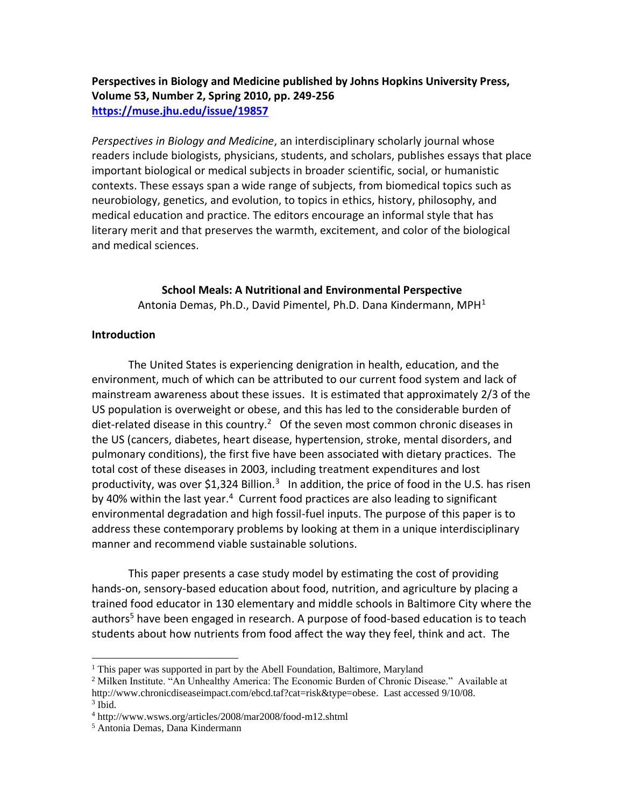# **Perspectives in Biology and Medicine published by Johns Hopkins University Press, Volume 53, Number 2, Spring 2010, pp. 249-256 <https://muse.jhu.edu/issue/19857>**

*Perspectives in Biology and Medicine*, an interdisciplinary scholarly journal whose readers include biologists, physicians, students, and scholars, publishes essays that place important biological or medical subjects in broader scientific, social, or humanistic contexts. These essays span a wide range of subjects, from biomedical topics such as neurobiology, genetics, and evolution, to topics in ethics, history, philosophy, and medical education and practice. The editors encourage an informal style that has literary merit and that preserves the warmth, excitement, and color of the biological and medical sciences.

> **School Meals: A Nutritional and Environmental Perspective** Antonia Demas, Ph.D., David Pimentel, Ph.D. Dana Kindermann, MPH<sup>1</sup>

## **Introduction**

The United States is experiencing denigration in health, education, and the environment, much of which can be attributed to our current food system and lack of mainstream awareness about these issues. It is estimated that approximately 2/3 of the US population is overweight or obese, and this has led to the considerable burden of diet-related disease in this country.<sup>2</sup> Of the seven most common chronic diseases in the US (cancers, diabetes, heart disease, hypertension, stroke, mental disorders, and pulmonary conditions), the first five have been associated with dietary practices. The total cost of these diseases in 2003, including treatment expenditures and lost productivity, was over \$1,324 Billion.<sup>3</sup> In addition, the price of food in the U.S. has risen by 40% within the last year.<sup>4</sup> Current food practices are also leading to significant environmental degradation and high fossil-fuel inputs. The purpose of this paper is to address these contemporary problems by looking at them in a unique interdisciplinary manner and recommend viable sustainable solutions.

This paper presents a case study model by estimating the cost of providing hands-on, sensory-based education about food, nutrition, and agriculture by placing a trained food educator in 130 elementary and middle schools in Baltimore City where the authors<sup>5</sup> have been engaged in research. A purpose of food-based education is to teach students about how nutrients from food affect the way they feel, think and act. The

 $1$  This paper was supported in part by the Abell Foundation, Baltimore, Maryland

<sup>&</sup>lt;sup>2</sup> Milken Institute. "An Unhealthy America: The Economic Burden of Chronic Disease." Available at http://www.chronicdiseaseimpact.com/ebcd.taf?cat=risk&type=obese. Last accessed 9/10/08. 3 Ibid.

<sup>4</sup> http://www.wsws.org/articles/2008/mar2008/food-m12.shtml

<sup>5</sup> Antonia Demas, Dana Kindermann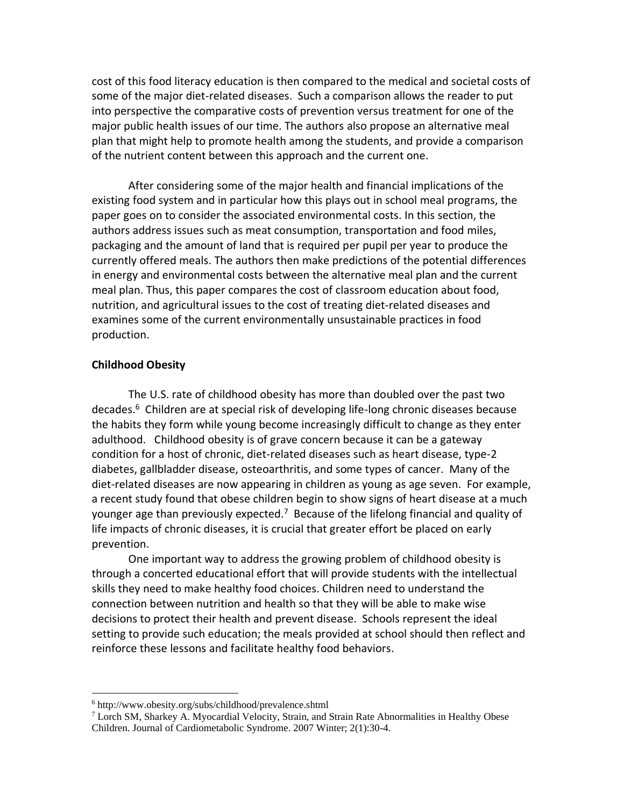cost of this food literacy education is then compared to the medical and societal costs of some of the major diet-related diseases. Such a comparison allows the reader to put into perspective the comparative costs of prevention versus treatment for one of the major public health issues of our time. The authors also propose an alternative meal plan that might help to promote health among the students, and provide a comparison of the nutrient content between this approach and the current one.

After considering some of the major health and financial implications of the existing food system and in particular how this plays out in school meal programs, the paper goes on to consider the associated environmental costs. In this section, the authors address issues such as meat consumption, transportation and food miles, packaging and the amount of land that is required per pupil per year to produce the currently offered meals. The authors then make predictions of the potential differences in energy and environmental costs between the alternative meal plan and the current meal plan. Thus, this paper compares the cost of classroom education about food, nutrition, and agricultural issues to the cost of treating diet-related diseases and examines some of the current environmentally unsustainable practices in food production.

## **Childhood Obesity**

The U.S. rate of childhood obesity has more than doubled over the past two decades.<sup>6</sup> Children are at special risk of developing life-long chronic diseases because the habits they form while young become increasingly difficult to change as they enter adulthood. Childhood obesity is of grave concern because it can be a gateway condition for a host of chronic, diet-related diseases such as heart disease, type-2 diabetes, gallbladder disease, osteoarthritis, and some types of cancer. Many of the diet-related diseases are now appearing in children as young as age seven. For example, a recent study found that obese children begin to show signs of heart disease at a much younger age than previously expected.<sup>7</sup> Because of the lifelong financial and quality of life impacts of chronic diseases, it is crucial that greater effort be placed on early prevention.

One important way to address the growing problem of childhood obesity is through a concerted educational effort that will provide students with the intellectual skills they need to make healthy food choices. Children need to understand the connection between nutrition and health so that they will be able to make wise decisions to protect their health and prevent disease. Schools represent the ideal setting to provide such education; the meals provided at school should then reflect and reinforce these lessons and facilitate healthy food behaviors.

<sup>6</sup> http://www.obesity.org/subs/childhood/prevalence.shtml

<sup>7</sup> Lorch SM, Sharkey A. Myocardial Velocity, Strain, and Strain Rate Abnormalities in Healthy Obese Children. Journal of Cardiometabolic Syndrome. 2007 Winter; 2(1):30-4.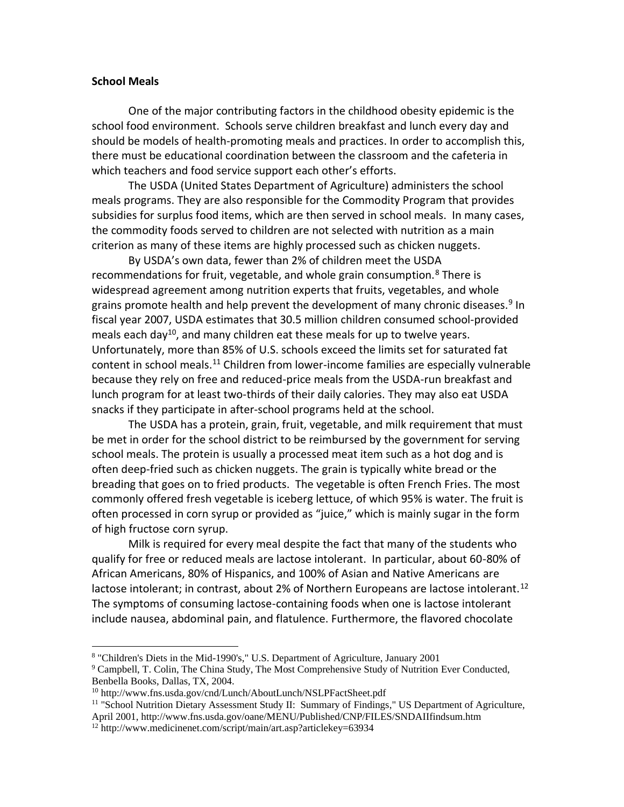#### **School Meals**

One of the major contributing factors in the childhood obesity epidemic is the school food environment. Schools serve children breakfast and lunch every day and should be models of health-promoting meals and practices. In order to accomplish this, there must be educational coordination between the classroom and the cafeteria in which teachers and food service support each other's efforts.

The USDA (United States Department of Agriculture) administers the school meals programs. They are also responsible for the Commodity Program that provides subsidies for surplus food items, which are then served in school meals. In many cases, the commodity foods served to children are not selected with nutrition as a main criterion as many of these items are highly processed such as chicken nuggets.

By USDA's own data, fewer than 2% of children meet the USDA recommendations for fruit, vegetable, and whole grain consumption. $8$  There is widespread agreement among nutrition experts that fruits, vegetables, and whole grains promote health and help prevent the development of many chronic diseases.<sup>9</sup> In fiscal year 2007, USDA estimates that 30.5 million children consumed school-provided meals each day<sup>10</sup>, and many children eat these meals for up to twelve years. Unfortunately, more than 85% of U.S. schools exceed the limits set for saturated fat content in school meals.<sup>11</sup> Children from lower-income families are especially vulnerable because they rely on free and reduced-price meals from the USDA-run breakfast and lunch program for at least two-thirds of their daily calories. They may also eat USDA snacks if they participate in after-school programs held at the school.

The USDA has a protein, grain, fruit, vegetable, and milk requirement that must be met in order for the school district to be reimbursed by the government for serving school meals. The protein is usually a processed meat item such as a hot dog and is often deep-fried such as chicken nuggets. The grain is typically white bread or the breading that goes on to fried products. The vegetable is often French Fries. The most commonly offered fresh vegetable is iceberg lettuce, of which 95% is water. The fruit is often processed in corn syrup or provided as "juice," which is mainly sugar in the form of high fructose corn syrup.

Milk is required for every meal despite the fact that many of the students who qualify for free or reduced meals are lactose intolerant. In particular, about 60-80% of African Americans, 80% of Hispanics, and 100% of Asian and Native Americans are lactose intolerant; in contrast, about 2% of Northern Europeans are lactose intolerant.<sup>12</sup> The symptoms of consuming lactose-containing foods when one is lactose intolerant include nausea, abdominal pain, and flatulence. Furthermore, the flavored chocolate

<sup>&</sup>lt;sup>8</sup> "Children's Diets in the Mid-1990's," U.S. Department of Agriculture, January 2001

<sup>&</sup>lt;sup>9</sup> Campbell, T. Colin, The China Study, The Most Comprehensive Study of Nutrition Ever Conducted, Benbella Books, Dallas, TX, 2004.

<sup>10</sup> http://www.fns.usda.gov/cnd/Lunch/AboutLunch/NSLPFactSheet.pdf

<sup>&</sup>lt;sup>11</sup> "School Nutrition Dietary Assessment Study II: Summary of Findings," US Department of Agriculture, April 2001, http://www.fns.usda.gov/oane/MENU/Published/CNP/FILES/SNDAIIfindsum.htm

<sup>12</sup> http://www.medicinenet.com/script/main/art.asp?articlekey=63934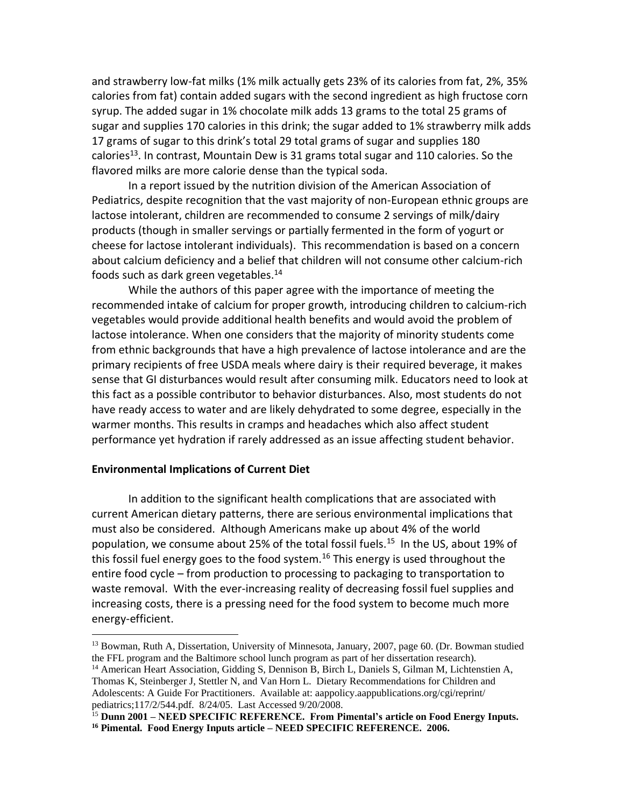and strawberry low-fat milks (1% milk actually gets 23% of its calories from fat, 2%, 35% calories from fat) contain added sugars with the second ingredient as high fructose corn syrup. The added sugar in 1% chocolate milk adds 13 grams to the total 25 grams of sugar and supplies 170 calories in this drink; the sugar added to 1% strawberry milk adds 17 grams of sugar to this drink's total 29 total grams of sugar and supplies 180 calories<sup>13</sup>. In contrast, Mountain Dew is 31 grams total sugar and 110 calories. So the flavored milks are more calorie dense than the typical soda.

In a report issued by the nutrition division of the American Association of Pediatrics, despite recognition that the vast majority of non-European ethnic groups are lactose intolerant, children are recommended to consume 2 servings of milk/dairy products (though in smaller servings or partially fermented in the form of yogurt or cheese for lactose intolerant individuals). This recommendation is based on a concern about calcium deficiency and a belief that children will not consume other calcium-rich foods such as dark green vegetables.<sup>14</sup>

While the authors of this paper agree with the importance of meeting the recommended intake of calcium for proper growth, introducing children to calcium-rich vegetables would provide additional health benefits and would avoid the problem of lactose intolerance. When one considers that the majority of minority students come from ethnic backgrounds that have a high prevalence of lactose intolerance and are the primary recipients of free USDA meals where dairy is their required beverage, it makes sense that GI disturbances would result after consuming milk. Educators need to look at this fact as a possible contributor to behavior disturbances. Also, most students do not have ready access to water and are likely dehydrated to some degree, especially in the warmer months. This results in cramps and headaches which also affect student performance yet hydration if rarely addressed as an issue affecting student behavior.

#### **Environmental Implications of Current Diet**

In addition to the significant health complications that are associated with current American dietary patterns, there are serious environmental implications that must also be considered. Although Americans make up about 4% of the world population, we consume about 25% of the total fossil fuels.<sup>15</sup> In the US, about 19% of this fossil fuel energy goes to the food system.<sup>16</sup> This energy is used throughout the entire food cycle – from production to processing to packaging to transportation to waste removal. With the ever-increasing reality of decreasing fossil fuel supplies and increasing costs, there is a pressing need for the food system to become much more energy-efficient.

<sup>13</sup> Bowman, Ruth A, Dissertation, University of Minnesota, January, 2007, page 60. (Dr. Bowman studied the FFL program and the Baltimore school lunch program as part of her dissertation research).

<sup>&</sup>lt;sup>14</sup> American Heart Association, Gidding S, Dennison B, Birch L, Daniels S, Gilman M, Lichtenstien A, Thomas K, Steinberger J, Stettler N, and Van Horn L. Dietary Recommendations for Children and Adolescents: A Guide For Practitioners. Available at: aappolicy.aappublications.org/cgi/reprint/ pediatrics;117/2/544.pdf. 8/24/05. Last Accessed 9/20/2008.

<sup>15</sup> **Dunn 2001 – NEED SPECIFIC REFERENCE. From Pimental's article on Food Energy Inputs. <sup>16</sup> Pimental. Food Energy Inputs article – NEED SPECIFIC REFERENCE. 2006.**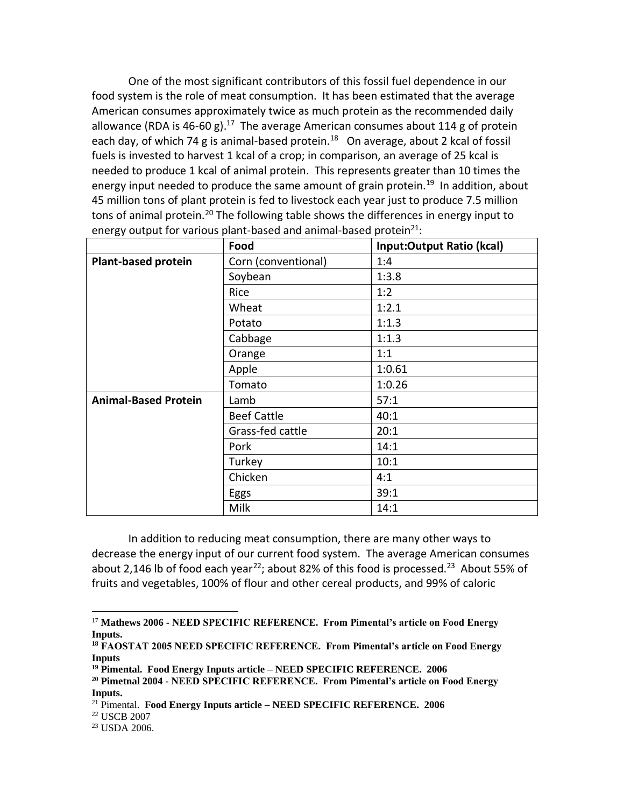One of the most significant contributors of this fossil fuel dependence in our food system is the role of meat consumption. It has been estimated that the average American consumes approximately twice as much protein as the recommended daily allowance (RDA is 46-60 g).<sup>17</sup> The average American consumes about 114 g of protein each day, of which 74 g is animal-based protein.<sup>18</sup> On average, about 2 kcal of fossil fuels is invested to harvest 1 kcal of a crop; in comparison, an average of 25 kcal is needed to produce 1 kcal of animal protein. This represents greater than 10 times the energy input needed to produce the same amount of grain protein.<sup>19</sup> In addition, about 45 million tons of plant protein is fed to livestock each year just to produce 7.5 million tons of animal protein.<sup>20</sup> The following table shows the differences in energy input to energy output for various plant-based and animal-based protein $^{21}$ :

| ັ້                          | Food                | Input:Output Ratio (kcal) |
|-----------------------------|---------------------|---------------------------|
| <b>Plant-based protein</b>  | Corn (conventional) | 1:4                       |
|                             | Soybean             | 1:3.8                     |
|                             | Rice                | 1:2                       |
|                             | Wheat               | 1:2.1                     |
|                             | Potato              | 1:1.3                     |
|                             | Cabbage             | 1:1.3                     |
|                             | Orange              | 1:1                       |
|                             | Apple               | 1:0.61                    |
|                             | Tomato              | 1:0.26                    |
| <b>Animal-Based Protein</b> | Lamb                | 57:1                      |
|                             | <b>Beef Cattle</b>  | 40:1                      |
|                             | Grass-fed cattle    | 20:1                      |
|                             | Pork                | 14:1                      |
|                             | Turkey              | 10:1                      |
|                             | Chicken             | 4:1                       |
|                             | Eggs                | 39:1                      |
|                             | Milk                | 14:1                      |

In addition to reducing meat consumption, there are many other ways to decrease the energy input of our current food system. The average American consumes about 2,146 lb of food each year<sup>22</sup>; about 82% of this food is processed.<sup>23</sup> About 55% of fruits and vegetables, 100% of flour and other cereal products, and 99% of caloric

<sup>17</sup> **Mathews 2006 - NEED SPECIFIC REFERENCE. From Pimental's article on Food Energy Inputs.**

**<sup>18</sup> FAOSTAT 2005 NEED SPECIFIC REFERENCE. From Pimental's article on Food Energy Inputs**

**<sup>19</sup> Pimental. Food Energy Inputs article – NEED SPECIFIC REFERENCE. 2006**

**<sup>20</sup> Pimetnal 2004 - NEED SPECIFIC REFERENCE. From Pimental's article on Food Energy Inputs.**

<sup>21</sup> Pimental. **Food Energy Inputs article – NEED SPECIFIC REFERENCE. 2006**

<sup>22</sup> USCB 2007

<sup>23</sup> USDA 2006.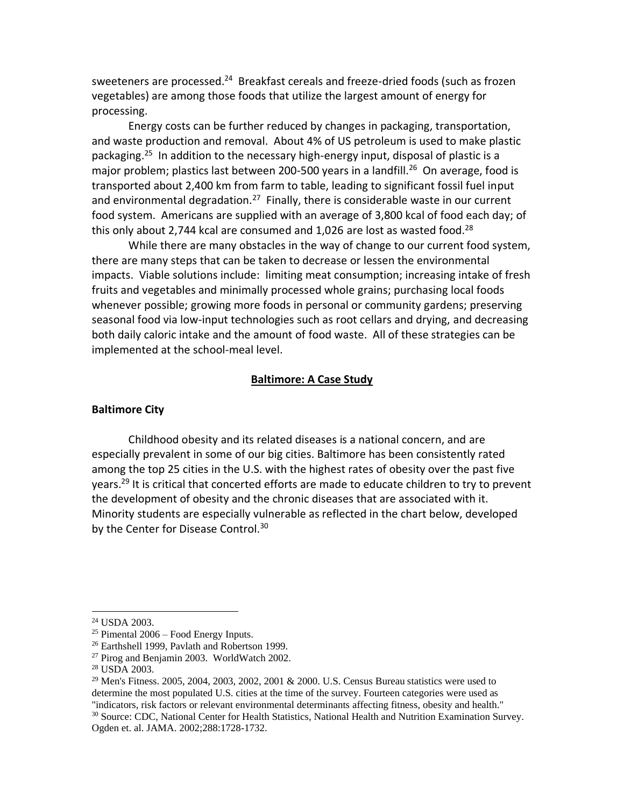sweeteners are processed.<sup>24</sup> Breakfast cereals and freeze-dried foods (such as frozen vegetables) are among those foods that utilize the largest amount of energy for processing.

Energy costs can be further reduced by changes in packaging, transportation, and waste production and removal. About 4% of US petroleum is used to make plastic packaging.<sup>25</sup> In addition to the necessary high-energy input, disposal of plastic is a major problem; plastics last between 200-500 years in a landfill.<sup>26</sup> On average, food is transported about 2,400 km from farm to table, leading to significant fossil fuel input and environmental degradation.<sup>27</sup> Finally, there is considerable waste in our current food system. Americans are supplied with an average of 3,800 kcal of food each day; of this only about 2,744 kcal are consumed and 1,026 are lost as wasted food.<sup>28</sup>

While there are many obstacles in the way of change to our current food system, there are many steps that can be taken to decrease or lessen the environmental impacts. Viable solutions include: limiting meat consumption; increasing intake of fresh fruits and vegetables and minimally processed whole grains; purchasing local foods whenever possible; growing more foods in personal or community gardens; preserving seasonal food via low-input technologies such as root cellars and drying, and decreasing both daily caloric intake and the amount of food waste. All of these strategies can be implemented at the school-meal level.

#### **Baltimore: A Case Study**

#### **Baltimore City**

Childhood obesity and its related diseases is a national concern, and are especially prevalent in some of our big cities. Baltimore has been consistently rated among the top 25 cities in the U.S. with the highest rates of obesity over the past five years.<sup>29</sup> It is critical that concerted efforts are made to educate children to try to prevent the development of obesity and the chronic diseases that are associated with it. Minority students are especially vulnerable as reflected in the chart below, developed by the Center for Disease Control.<sup>30</sup>

<sup>24</sup> USDA 2003.

 $25$  Pimental  $2006$  – Food Energy Inputs.

<sup>26</sup> Earthshell 1999, Pavlath and Robertson 1999.

<sup>&</sup>lt;sup>27</sup> Pirog and Benjamin 2003. WorldWatch 2002.

<sup>28</sup> USDA 2003.

<sup>&</sup>lt;sup>29</sup> Men's Fitness, 2005, 2004, 2003, 2002, 2001 & 2000, U.S. Census Bureau statistics were used to determine the most populated U.S. cities at the time of the survey. Fourteen categories were used as "indicators, risk factors or relevant environmental determinants affecting fitness, obesity and health."

<sup>&</sup>lt;sup>30</sup> Source: CDC, National Center for Health Statistics, National Health and Nutrition Examination Survey. Ogden et. al. JAMA. 2002;288:1728-1732.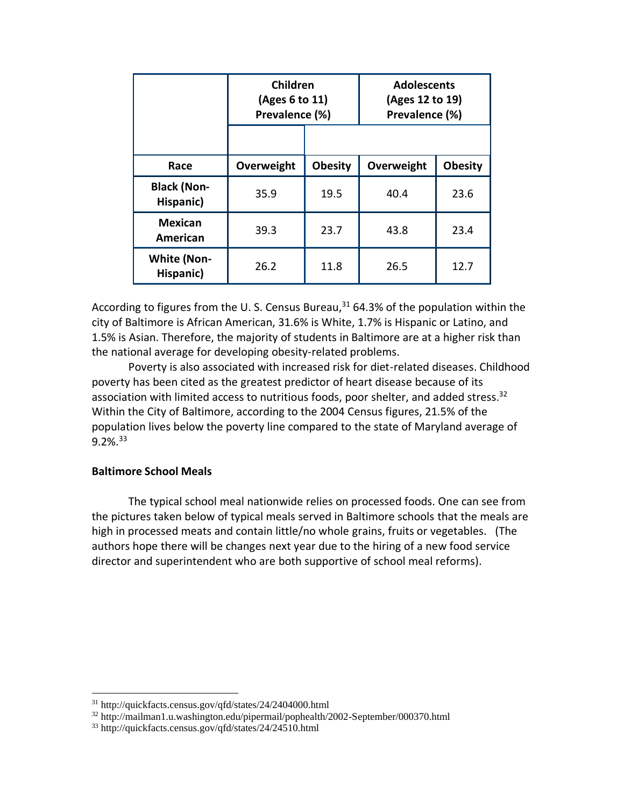|                                 | Children<br>(Ages 6 to 11)<br>Prevalence (%) |                | <b>Adolescents</b><br>(Ages 12 to 19)<br>Prevalence (%) |                |
|---------------------------------|----------------------------------------------|----------------|---------------------------------------------------------|----------------|
|                                 |                                              |                |                                                         |                |
| Race                            | Overweight                                   | <b>Obesity</b> | Overweight                                              | <b>Obesity</b> |
| <b>Black (Non-</b><br>Hispanic) | 35.9                                         | 19.5           | 40.4                                                    | 23.6           |
| <b>Mexican</b><br>American      | 39.3                                         | 23.7           | 43.8                                                    | 23.4           |
| <b>White (Non-</b><br>Hispanic) | 26.2                                         | 11.8           | 26.5                                                    | 12.7           |

According to figures from the U.S. Census Bureau, $31$  64.3% of the population within the city of Baltimore is African American, 31.6% is White, 1.7% is Hispanic or Latino, and 1.5% is Asian. Therefore, the majority of students in Baltimore are at a higher risk than the national average for developing obesity-related problems.

Poverty is also associated with increased risk for diet-related diseases. Childhood poverty has been cited as the greatest predictor of heart disease because of its association with limited access to nutritious foods, poor shelter, and added stress. $32$ Within the City of Baltimore, according to the 2004 Census figures, 21.5% of the population lives below the poverty line compared to the state of Maryland average of 9.2%.<sup>33</sup>

## **Baltimore School Meals**

The typical school meal nationwide relies on processed foods. One can see from the pictures taken below of typical meals served in Baltimore schools that the meals are high in processed meats and contain little/no whole grains, fruits or vegetables. (The authors hope there will be changes next year due to the hiring of a new food service director and superintendent who are both supportive of school meal reforms).

<sup>31</sup> http://quickfacts.census.gov/qfd/states/24/2404000.html

<sup>32</sup> http://mailman1.u.washington.edu/pipermail/pophealth/2002-September/000370.html

<sup>33</sup> http://quickfacts.census.gov/qfd/states/24/24510.html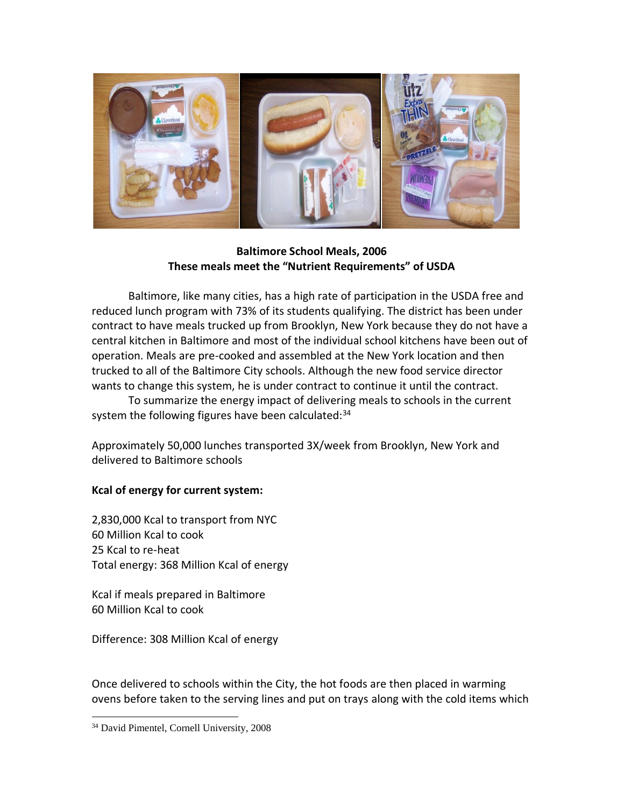

## **Baltimore School Meals, 2006 These meals meet the "Nutrient Requirements" of USDA**

Baltimore, like many cities, has a high rate of participation in the USDA free and reduced lunch program with 73% of its students qualifying. The district has been under contract to have meals trucked up from Brooklyn, New York because they do not have a central kitchen in Baltimore and most of the individual school kitchens have been out of operation. Meals are pre-cooked and assembled at the New York location and then trucked to all of the Baltimore City schools. Although the new food service director wants to change this system, he is under contract to continue it until the contract.

To summarize the energy impact of delivering meals to schools in the current system the following figures have been calculated:<sup>34</sup>

Approximately 50,000 lunches transported 3X/week from Brooklyn, New York and delivered to Baltimore schools

# **Kcal of energy for current system:**

2,830,000 Kcal to transport from NYC 60 Million Kcal to cook 25 Kcal to re-heat Total energy: 368 Million Kcal of energy

Kcal if meals prepared in Baltimore 60 Million Kcal to cook

Difference: 308 Million Kcal of energy

Once delivered to schools within the City, the hot foods are then placed in warming ovens before taken to the serving lines and put on trays along with the cold items which

<sup>34</sup> David Pimentel, Cornell University, 2008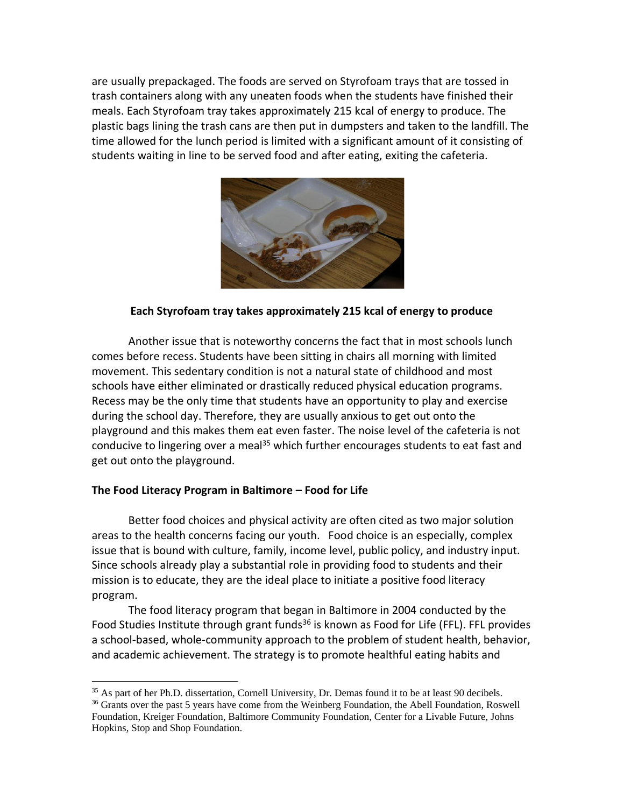are usually prepackaged. The foods are served on Styrofoam trays that are tossed in trash containers along with any uneaten foods when the students have finished their meals. Each Styrofoam tray takes approximately 215 kcal of energy to produce. The plastic bags lining the trash cans are then put in dumpsters and taken to the landfill. The time allowed for the lunch period is limited with a significant amount of it consisting of students waiting in line to be served food and after eating, exiting the cafeteria.



## **Each Styrofoam tray takes approximately 215 kcal of energy to produce**

Another issue that is noteworthy concerns the fact that in most schools lunch comes before recess. Students have been sitting in chairs all morning with limited movement. This sedentary condition is not a natural state of childhood and most schools have either eliminated or drastically reduced physical education programs. Recess may be the only time that students have an opportunity to play and exercise during the school day. Therefore, they are usually anxious to get out onto the playground and this makes them eat even faster. The noise level of the cafeteria is not conducive to lingering over a meal<sup>35</sup> which further encourages students to eat fast and get out onto the playground.

## **The Food Literacy Program in Baltimore – Food for Life**

Better food choices and physical activity are often cited as two major solution areas to the health concerns facing our youth. Food choice is an especially, complex issue that is bound with culture, family, income level, public policy, and industry input. Since schools already play a substantial role in providing food to students and their mission is to educate, they are the ideal place to initiate a positive food literacy program.

The food literacy program that began in Baltimore in 2004 conducted by the Food Studies Institute through grant funds<sup>36</sup> is known as Food for Life (FFL). FFL provides a school-based, whole-community approach to the problem of student health, behavior, and academic achievement. The strategy is to promote healthful eating habits and

<sup>&</sup>lt;sup>35</sup> As part of her Ph.D. dissertation, Cornell University, Dr. Demas found it to be at least 90 decibels.

<sup>&</sup>lt;sup>36</sup> Grants over the past 5 years have come from the Weinberg Foundation, the Abell Foundation, Roswell Foundation, Kreiger Foundation, Baltimore Community Foundation, Center for a Livable Future, Johns Hopkins, Stop and Shop Foundation.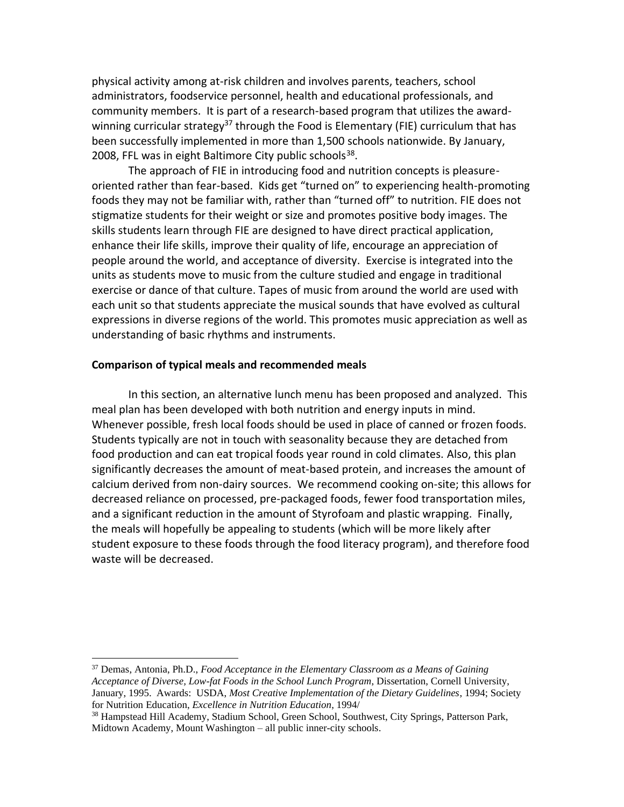physical activity among at-risk children and involves parents, teachers, school administrators, foodservice personnel, health and educational professionals, and community members. It is part of a research-based program that utilizes the awardwinning curricular strategy<sup>37</sup> through the Food is Elementary (FIE) curriculum that has been successfully implemented in more than 1,500 schools nationwide. By January, 2008, FFL was in eight Baltimore City public schools<sup>38</sup>.

The approach of FIE in introducing food and nutrition concepts is pleasureoriented rather than fear-based. Kids get "turned on" to experiencing health-promoting foods they may not be familiar with, rather than "turned off" to nutrition. FIE does not stigmatize students for their weight or size and promotes positive body images. The skills students learn through FIE are designed to have direct practical application, enhance their life skills, improve their quality of life, encourage an appreciation of people around the world, and acceptance of diversity.Exercise is integrated into the units as students move to music from the culture studied and engage in traditional exercise or dance of that culture. Tapes of music from around the world are used with each unit so that students appreciate the musical sounds that have evolved as cultural expressions in diverse regions of the world. This promotes music appreciation as well as understanding of basic rhythms and instruments.

## **Comparison of typical meals and recommended meals**

In this section, an alternative lunch menu has been proposed and analyzed. This meal plan has been developed with both nutrition and energy inputs in mind. Whenever possible, fresh local foods should be used in place of canned or frozen foods. Students typically are not in touch with seasonality because they are detached from food production and can eat tropical foods year round in cold climates. Also, this plan significantly decreases the amount of meat-based protein, and increases the amount of calcium derived from non-dairy sources. We recommend cooking on-site; this allows for decreased reliance on processed, pre-packaged foods, fewer food transportation miles, and a significant reduction in the amount of Styrofoam and plastic wrapping. Finally, the meals will hopefully be appealing to students (which will be more likely after student exposure to these foods through the food literacy program), and therefore food waste will be decreased.

<sup>37</sup> Demas, Antonia, Ph.D., *Food Acceptance in the Elementary Classroom as a Means of Gaining Acceptance of Diverse, Low-fat Foods in the School Lunch Program*, Dissertation, Cornell University, January, 1995. Awards: USDA, *Most Creative Implementation of the Dietary Guidelines*, 1994; Society for Nutrition Education, *Excellence in Nutrition Education*, 1994/

<sup>&</sup>lt;sup>38</sup> Hampstead Hill Academy, Stadium School, Green School, Southwest, City Springs, Patterson Park, Midtown Academy, Mount Washington – all public inner-city schools.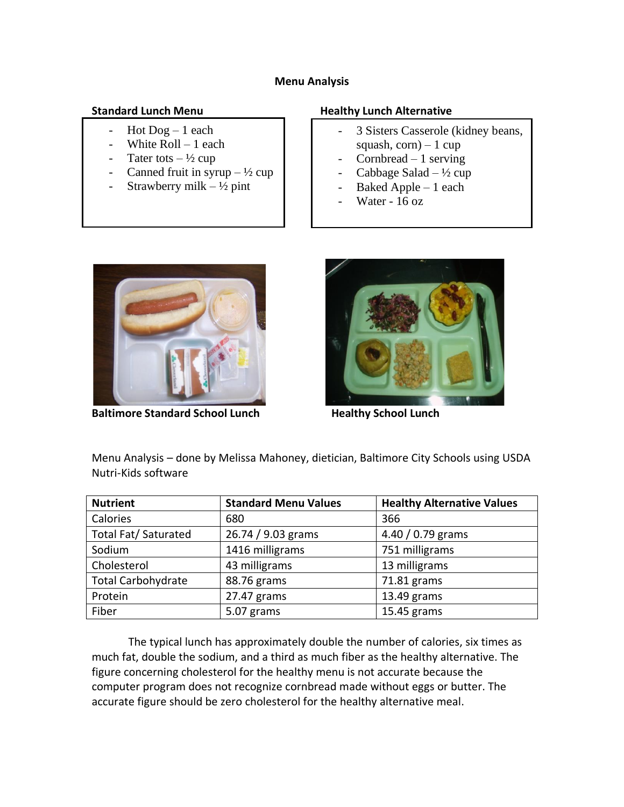## **Menu Analysis**

- Hot  $Dog 1$  each
- White Roll 1 each
- Tater tots  $-\frac{1}{2}$  cup
- Canned fruit in syrup  $-\frac{1}{2}$  cup
- Strawberry milk  $\frac{1}{2}$  pint

## **Standard Lunch Menu Healthy Lunch Alternative**

- 3 Sisters Casserole (kidney beans, squash,  $corn$ ) – 1 cup
- Cornbread 1 serving
- Cabbage Salad  $\frac{1}{2}$  cup
- Baked Apple  $-1$  each
- Water 16 oz



**Baltimore Standard School Lunch Mealthy School Lunch** 



Menu Analysis – done by Melissa Mahoney, dietician, Baltimore City Schools using USDA Nutri-Kids software

| <b>Nutrient</b>           | <b>Standard Menu Values</b> | <b>Healthy Alternative Values</b> |
|---------------------------|-----------------------------|-----------------------------------|
| Calories                  | 680                         | 366                               |
| Total Fat/ Saturated      | 26.74 / 9.03 grams          | 4.40 $/$ 0.79 grams               |
| Sodium                    | 1416 milligrams             | 751 milligrams                    |
| Cholesterol               | 43 milligrams               | 13 milligrams                     |
| <b>Total Carbohydrate</b> | 88.76 grams                 | 71.81 grams                       |
| Protein                   | 27.47 grams                 | 13.49 grams                       |
| Fiber                     | 5.07 grams                  | 15.45 grams                       |

The typical lunch has approximately double the number of calories, six times as much fat, double the sodium, and a third as much fiber as the healthy alternative. The figure concerning cholesterol for the healthy menu is not accurate because the computer program does not recognize cornbread made without eggs or butter. The accurate figure should be zero cholesterol for the healthy alternative meal.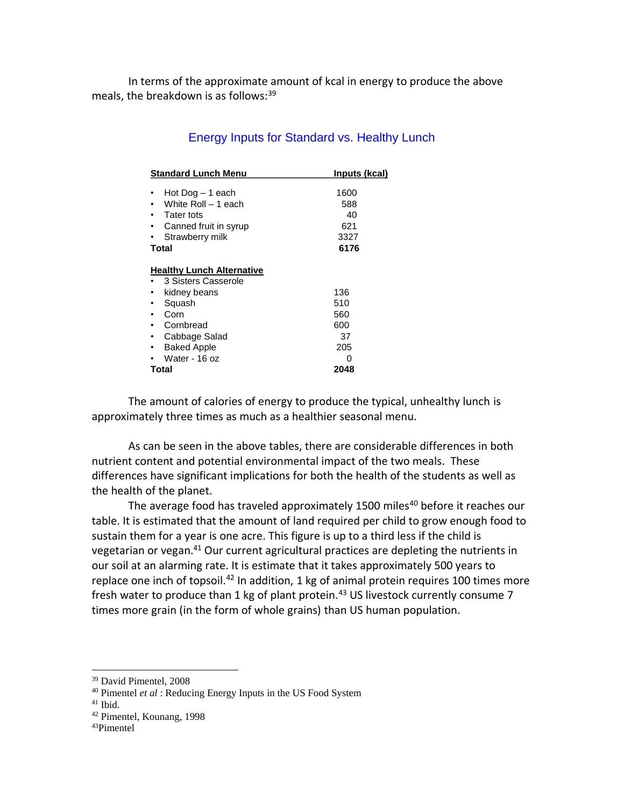In terms of the approximate amount of kcal in energy to produce the above meals, the breakdown is as follows: 39

| <b>Standard Lunch Menu</b>       | Inputs (kcal) |
|----------------------------------|---------------|
|                                  |               |
| Hot Dog - 1 each                 | 1600          |
| White Roll - 1 each              | 588           |
| Tater tots                       | 40            |
| Canned fruit in syrup            | 621           |
| Strawberry milk                  | 3327          |
| <b>Total</b>                     | 6176          |
|                                  |               |
| <b>Healthy Lunch Alternative</b> |               |
| 3 Sisters Casserole              |               |
| kidney beans                     | 136           |
| Squash                           | 510           |
| Corn                             | 560           |
| Cornbread                        | 600           |
| Cabbage Salad                    | 37            |
| <b>Baked Apple</b>               | 205           |
| Water - 16 oz                    | 0             |
| Total                            | 2048          |

# Energy Inputs for Standard vs. Healthy Lunch

The amount of calories of energy to produce the typical, unhealthy lunch is approximately three times as much as a healthier seasonal menu.

As can be seen in the above tables, there are considerable differences in both nutrient content and potential environmental impact of the two meals. These differences have significant implications for both the health of the students as well as the health of the planet.

The average food has traveled approximately 1500 miles<sup>40</sup> before it reaches our table. It is estimated that the amount of land required per child to grow enough food to sustain them for a year is one acre. This figure is up to a third less if the child is vegetarian or vegan.<sup>41</sup> Our current agricultural practices are depleting the nutrients in our soil at an alarming rate. It is estimate that it takes approximately 500 years to replace one inch of topsoil.<sup>42</sup> In addition, 1 kg of animal protein requires 100 times more fresh water to produce than 1 kg of plant protein.<sup>43</sup> US livestock currently consume 7 times more grain (in the form of whole grains) than US human population.

<sup>39</sup> David Pimentel, 2008

<sup>40</sup> Pimentel *et al* : Reducing Energy Inputs in the US Food System

 $41$  Ibid.

<sup>42</sup> Pimentel, Kounang, 1998

<sup>43</sup>Pimentel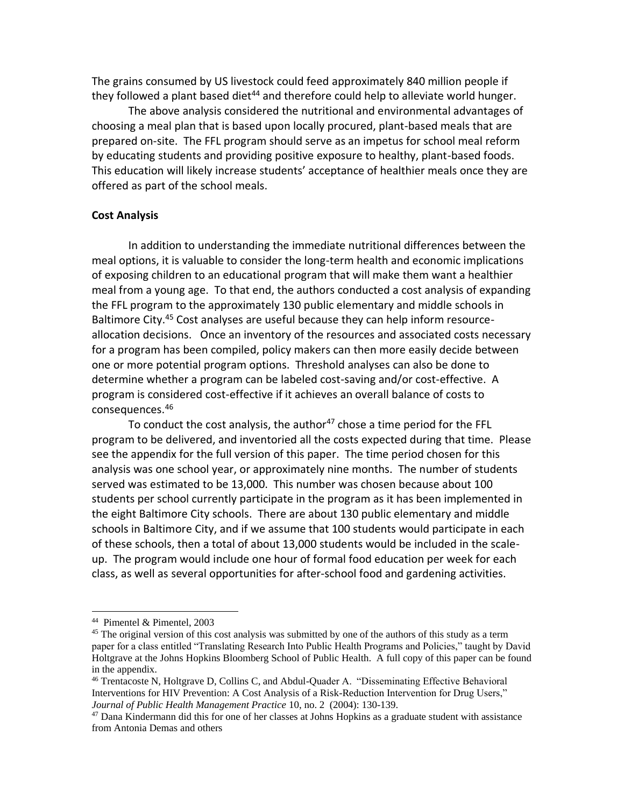The grains consumed by US livestock could feed approximately 840 million people if they followed a plant based diet<sup>44</sup> and therefore could help to alleviate world hunger.

The above analysis considered the nutritional and environmental advantages of choosing a meal plan that is based upon locally procured, plant-based meals that are prepared on-site. The FFL program should serve as an impetus for school meal reform by educating students and providing positive exposure to healthy, plant-based foods. This education will likely increase students' acceptance of healthier meals once they are offered as part of the school meals.

#### **Cost Analysis**

In addition to understanding the immediate nutritional differences between the meal options, it is valuable to consider the long-term health and economic implications of exposing children to an educational program that will make them want a healthier meal from a young age. To that end, the authors conducted a cost analysis of expanding the FFL program to the approximately 130 public elementary and middle schools in Baltimore City.<sup>45</sup> Cost analyses are useful because they can help inform resourceallocation decisions. Once an inventory of the resources and associated costs necessary for a program has been compiled, policy makers can then more easily decide between one or more potential program options. Threshold analyses can also be done to determine whether a program can be labeled cost-saving and/or cost-effective. A program is considered cost-effective if it achieves an overall balance of costs to consequences.<sup>46</sup>

To conduct the cost analysis, the author<sup>47</sup> chose a time period for the FFL program to be delivered, and inventoried all the costs expected during that time. Please see the appendix for the full version of this paper. The time period chosen for this analysis was one school year, or approximately nine months. The number of students served was estimated to be 13,000. This number was chosen because about 100 students per school currently participate in the program as it has been implemented in the eight Baltimore City schools. There are about 130 public elementary and middle schools in Baltimore City, and if we assume that 100 students would participate in each of these schools, then a total of about 13,000 students would be included in the scaleup. The program would include one hour of formal food education per week for each class, as well as several opportunities for after-school food and gardening activities.

<sup>44</sup> Pimentel & Pimentel, 2003

 $45$  The original version of this cost analysis was submitted by one of the authors of this study as a term paper for a class entitled "Translating Research Into Public Health Programs and Policies," taught by David Holtgrave at the Johns Hopkins Bloomberg School of Public Health. A full copy of this paper can be found in the appendix.

<sup>46</sup> Trentacoste N, Holtgrave D, Collins C, and Abdul-Quader A. "Disseminating Effective Behavioral Interventions for HIV Prevention: A Cost Analysis of a Risk-Reduction Intervention for Drug Users," *Journal of Public Health Management Practice* 10, no. 2 (2004): 130-139.

 $47$  Dana Kindermann did this for one of her classes at Johns Hopkins as a graduate student with assistance from Antonia Demas and others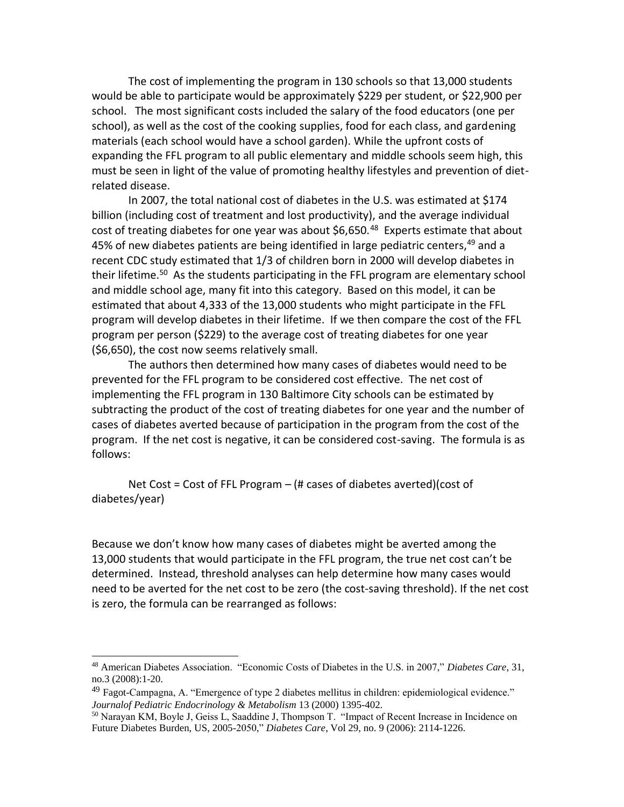The cost of implementing the program in 130 schools so that 13,000 students would be able to participate would be approximately \$229 per student, or \$22,900 per school. The most significant costs included the salary of the food educators (one per school), as well as the cost of the cooking supplies, food for each class, and gardening materials (each school would have a school garden). While the upfront costs of expanding the FFL program to all public elementary and middle schools seem high, this must be seen in light of the value of promoting healthy lifestyles and prevention of dietrelated disease.

In 2007, the total national cost of diabetes in the U.S. was estimated at \$174 billion (including cost of treatment and lost productivity), and the average individual cost of treating diabetes for one year was about \$6,650.<sup>48</sup> Experts estimate that about 45% of new diabetes patients are being identified in large pediatric centers,<sup>49</sup> and a recent CDC study estimated that 1/3 of children born in 2000 will develop diabetes in their lifetime.<sup>50</sup> As the students participating in the FFL program are elementary school and middle school age, many fit into this category. Based on this model, it can be estimated that about 4,333 of the 13,000 students who might participate in the FFL program will develop diabetes in their lifetime. If we then compare the cost of the FFL program per person (\$229) to the average cost of treating diabetes for one year (\$6,650), the cost now seems relatively small.

The authors then determined how many cases of diabetes would need to be prevented for the FFL program to be considered cost effective. The net cost of implementing the FFL program in 130 Baltimore City schools can be estimated by subtracting the product of the cost of treating diabetes for one year and the number of cases of diabetes averted because of participation in the program from the cost of the program. If the net cost is negative, it can be considered cost-saving. The formula is as follows:

Net Cost = Cost of FFL Program  $-$  (# cases of diabetes averted)(cost of diabetes/year)

Because we don't know how many cases of diabetes might be averted among the 13,000 students that would participate in the FFL program, the true net cost can't be determined. Instead, threshold analyses can help determine how many cases would need to be averted for the net cost to be zero (the cost-saving threshold). If the net cost is zero, the formula can be rearranged as follows:

<sup>48</sup> American Diabetes Association. "Economic Costs of Diabetes in the U.S. in 2007," *Diabetes Care*, 31, no.3 (2008):1-20.

 $^{49}$  Fagot-Campagna, A. "Emergence of type 2 diabetes mellitus in children: epidemiological evidence." *Journalof Pediatric Endocrinology & Metabolism* 13 (2000) 1395-402.

<sup>50</sup> Narayan KM, Boyle J, Geiss L, Saaddine J, Thompson T. "Impact of Recent Increase in Incidence on Future Diabetes Burden, US, 2005-2050," *Diabetes Care*, Vol 29, no. 9 (2006): 2114-1226.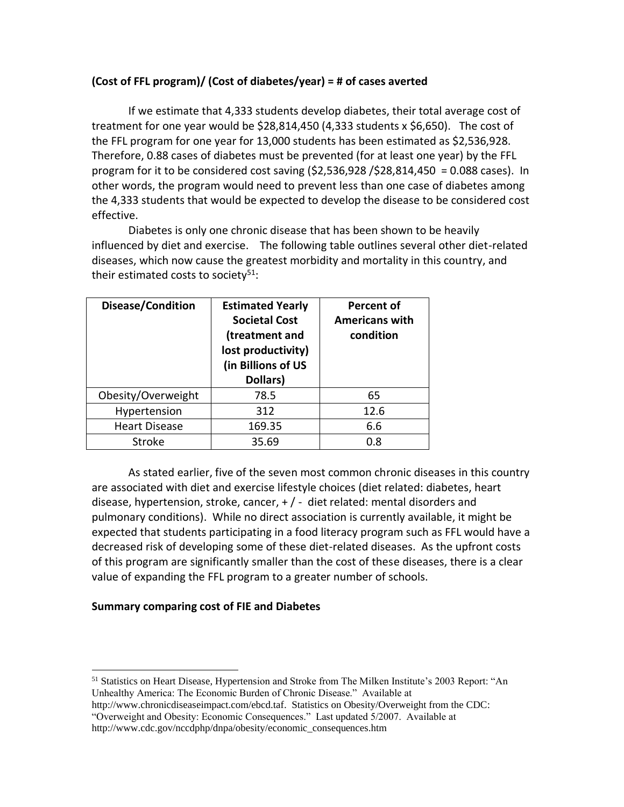# **(Cost of FFL program)/ (Cost of diabetes/year) = # of cases averted**

If we estimate that 4,333 students develop diabetes, their total average cost of treatment for one year would be  $$28,814,450$  (4,333 students x  $$6,650$ ). The cost of the FFL program for one year for 13,000 students has been estimated as \$2,536,928. Therefore, 0.88 cases of diabetes must be prevented (for at least one year) by the FFL program for it to be considered cost saving  $(52,536,928 / 528,814,450 = 0.088$  cases). In other words, the program would need to prevent less than one case of diabetes among the 4,333 students that would be expected to develop the disease to be considered cost effective.

Diabetes is only one chronic disease that has been shown to be heavily influenced by diet and exercise. The following table outlines several other diet-related diseases, which now cause the greatest morbidity and mortality in this country, and their estimated costs to society<sup>51</sup>:

| Disease/Condition    | <b>Estimated Yearly</b><br><b>Societal Cost</b><br>(treatment and<br>lost productivity)<br>(in Billions of US<br>Dollars) | <b>Percent of</b><br><b>Americans with</b><br>condition |
|----------------------|---------------------------------------------------------------------------------------------------------------------------|---------------------------------------------------------|
| Obesity/Overweight   | 78.5                                                                                                                      | 65                                                      |
| Hypertension         | 312                                                                                                                       | 12.6                                                    |
| <b>Heart Disease</b> | 169.35                                                                                                                    | 6.6                                                     |
| <b>Stroke</b>        | 35.69                                                                                                                     | 0.8                                                     |

As stated earlier, five of the seven most common chronic diseases in this country are associated with diet and exercise lifestyle choices (diet related: diabetes, heart disease, hypertension, stroke, cancer, + / - diet related: mental disorders and pulmonary conditions). While no direct association is currently available, it might be expected that students participating in a food literacy program such as FFL would have a decreased risk of developing some of these diet-related diseases. As the upfront costs of this program are significantly smaller than the cost of these diseases, there is a clear value of expanding the FFL program to a greater number of schools.

## **Summary comparing cost of FIE and Diabetes**

http://www.chronicdiseaseimpact.com/ebcd.taf. Statistics on Obesity/Overweight from the CDC: "Overweight and Obesity: Economic Consequences." Last updated 5/2007. Available at http://www.cdc.gov/nccdphp/dnpa/obesity/economic\_consequences.htm

<sup>51</sup> Statistics on Heart Disease, Hypertension and Stroke from The Milken Institute's 2003 Report: "An Unhealthy America: The Economic Burden of Chronic Disease." Available at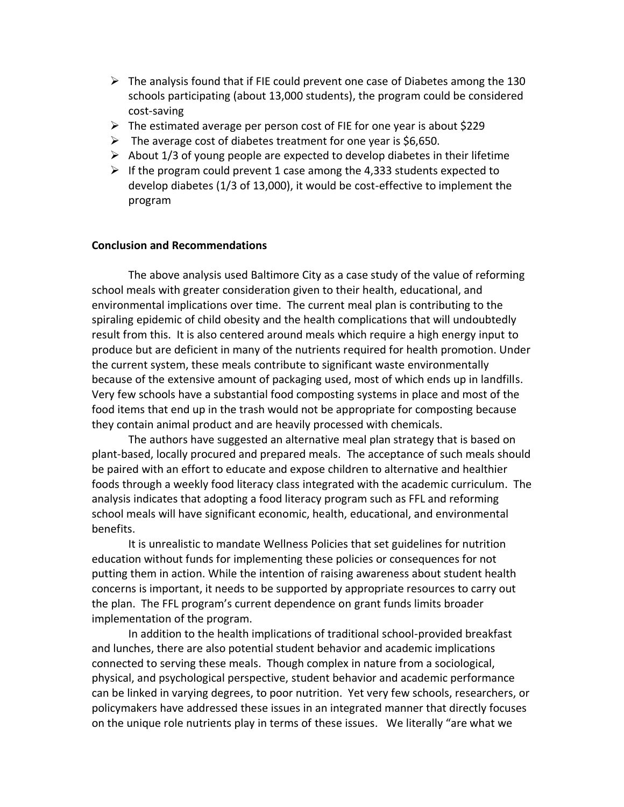- $\triangleright$  The analysis found that if FIE could prevent one case of Diabetes among the 130 schools participating (about 13,000 students), the program could be considered cost-saving
- ➢ The estimated average per person cost of FIE for one year is about \$229
- $\triangleright$  The average cost of diabetes treatment for one year is \$6,650.
- $\triangleright$  About 1/3 of young people are expected to develop diabetes in their lifetime
- $\triangleright$  If the program could prevent 1 case among the 4,333 students expected to develop diabetes (1/3 of 13,000), it would be cost-effective to implement the program

#### **Conclusion and Recommendations**

The above analysis used Baltimore City as a case study of the value of reforming school meals with greater consideration given to their health, educational, and environmental implications over time. The current meal plan is contributing to the spiraling epidemic of child obesity and the health complications that will undoubtedly result from this. It is also centered around meals which require a high energy input to produce but are deficient in many of the nutrients required for health promotion. Under the current system, these meals contribute to significant waste environmentally because of the extensive amount of packaging used, most of which ends up in landfills. Very few schools have a substantial food composting systems in place and most of the food items that end up in the trash would not be appropriate for composting because they contain animal product and are heavily processed with chemicals.

The authors have suggested an alternative meal plan strategy that is based on plant-based, locally procured and prepared meals. The acceptance of such meals should be paired with an effort to educate and expose children to alternative and healthier foods through a weekly food literacy class integrated with the academic curriculum. The analysis indicates that adopting a food literacy program such as FFL and reforming school meals will have significant economic, health, educational, and environmental benefits.

It is unrealistic to mandate Wellness Policies that set guidelines for nutrition education without funds for implementing these policies or consequences for not putting them in action. While the intention of raising awareness about student health concerns is important, it needs to be supported by appropriate resources to carry out the plan. The FFL program's current dependence on grant funds limits broader implementation of the program.

In addition to the health implications of traditional school-provided breakfast and lunches, there are also potential student behavior and academic implications connected to serving these meals. Though complex in nature from a sociological, physical, and psychological perspective, student behavior and academic performance can be linked in varying degrees, to poor nutrition. Yet very few schools, researchers, or policymakers have addressed these issues in an integrated manner that directly focuses on the unique role nutrients play in terms of these issues. We literally "are what we